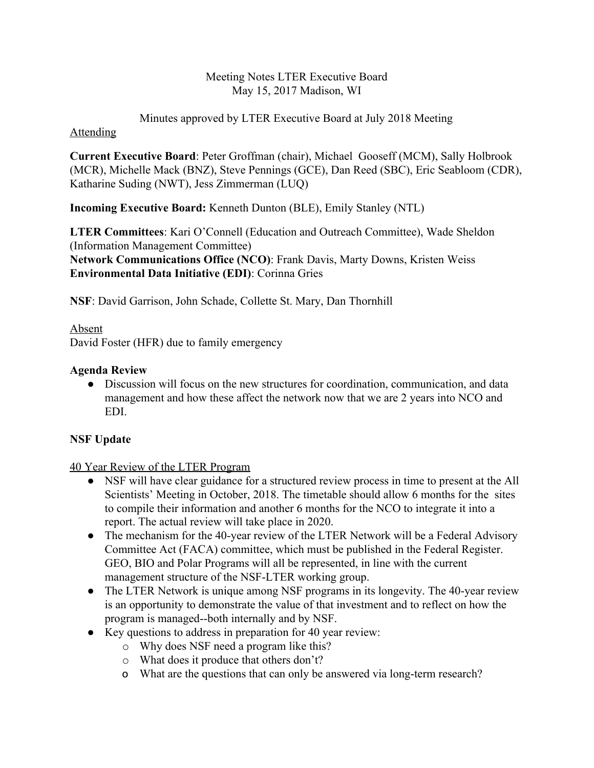#### Meeting Notes LTER Executive Board May 15, 2017 Madison, WI

Minutes approved by LTER Executive Board at July 2018 Meeting

#### Attending

**Current Executive Board**: Peter Groffman (chair), Michael Gooseff (MCM), Sally Holbrook (MCR), Michelle Mack (BNZ), Steve Pennings (GCE), Dan Reed (SBC), Eric Seabloom (CDR), Katharine Suding (NWT), Jess Zimmerman (LUQ)

**Incoming Executive Board:** Kenneth Dunton (BLE), Emily Stanley (NTL)

**LTER Committees**: Kari O'Connell (Education and Outreach Committee), Wade Sheldon (Information Management Committee) **Network Communications Office (NCO)**: Frank Davis, Marty Downs, Kristen Weiss **Environmental Data Initiative (EDI)**: Corinna Gries

**NSF**: David Garrison, John Schade, Collette St. Mary, Dan Thornhill

Absent David Foster (HFR) due to family emergency

## **Agenda Review**

● Discussion will focus on the new structures for coordination, communication, and data management and how these affect the network now that we are 2 years into NCO and EDI.

# **NSF Update**

## 40 Year Review of the LTER Program

- NSF will have clear guidance for a structured review process in time to present at the All Scientists' Meeting in October, 2018. The timetable should allow 6 months for the sites to compile their information and another 6 months for the NCO to integrate it into a report. The actual review will take place in 2020.
- The mechanism for the 40-year review of the LTER Network will be a Federal Advisory Committee Act (FACA) committee, which must be published in the Federal Register. GEO, BIO and Polar Programs will all be represented, in line with the current management structure of the NSF-LTER working group.
- The LTER Network is unique among NSF programs in its longevity. The 40-year review is an opportunity to demonstrate the value of that investment and to reflect on how the program is managed--both internally and by NSF.
- Key questions to address in preparation for 40 year review:
	- o Why does NSF need a program like this?
	- o What does it produce that others don't?
	- o What are the questions that can only be answered via long-term research?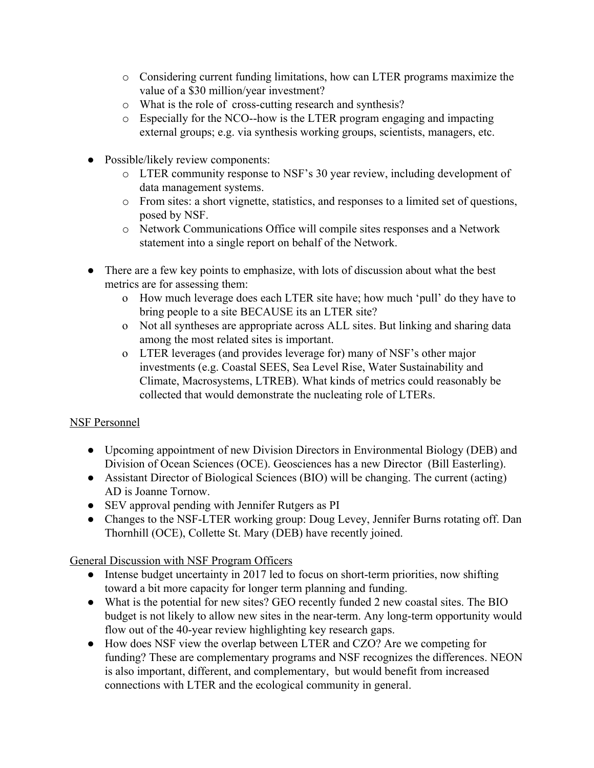- o Considering current funding limitations, how can LTER programs maximize the value of a \$30 million/year investment?
- o What is the role of cross-cutting research and synthesis?
- o Especially for the NCO--how is the LTER program engaging and impacting external groups; e.g. via synthesis working groups, scientists, managers, etc.
- Possible/likely review components:
	- o LTER community response to NSF's 30 year review, including development of data management systems.
	- o From sites: a short vignette, statistics, and responses to a limited set of questions, posed by NSF.
	- o Network Communications Office will compile sites responses and a Network statement into a single report on behalf of the Network.
- There are a few key points to emphasize, with lots of discussion about what the best metrics are for assessing them:
	- o How much leverage does each LTER site have; how much 'pull' do they have to bring people to a site BECAUSE its an LTER site?
	- o Not all syntheses are appropriate across ALL sites. But linking and sharing data among the most related sites is important.
	- o LTER leverages (and provides leverage for) many of NSF's other major investments (e.g. Coastal SEES, Sea Level Rise, Water Sustainability and Climate, Macrosystems, LTREB). What kinds of metrics could reasonably be collected that would demonstrate the nucleating role of LTERs.

## NSF Personnel

- Upcoming appointment of new Division Directors in Environmental Biology (DEB) and Division of Ocean Sciences (OCE). Geosciences has a new Director (Bill Easterling).
- Assistant Director of Biological Sciences (BIO) will be changing. The current (acting) AD is Joanne Tornow.
- SEV approval pending with Jennifer Rutgers as PI
- Changes to the NSF-LTER working group: Doug Levey, Jennifer Burns rotating off. Dan Thornhill (OCE), Collette St. Mary (DEB) have recently joined.

## General Discussion with NSF Program Officers

- Intense budget uncertainty in 2017 led to focus on short-term priorities, now shifting toward a bit more capacity for longer term planning and funding.
- What is the potential for new sites? GEO recently funded 2 new coastal sites. The BIO budget is not likely to allow new sites in the near-term. Any long-term opportunity would flow out of the 40-year review highlighting key research gaps.
- How does NSF view the overlap between LTER and CZO? Are we competing for funding? These are complementary programs and NSF recognizes the differences. NEON is also important, different, and complementary, but would benefit from increased connections with LTER and the ecological community in general.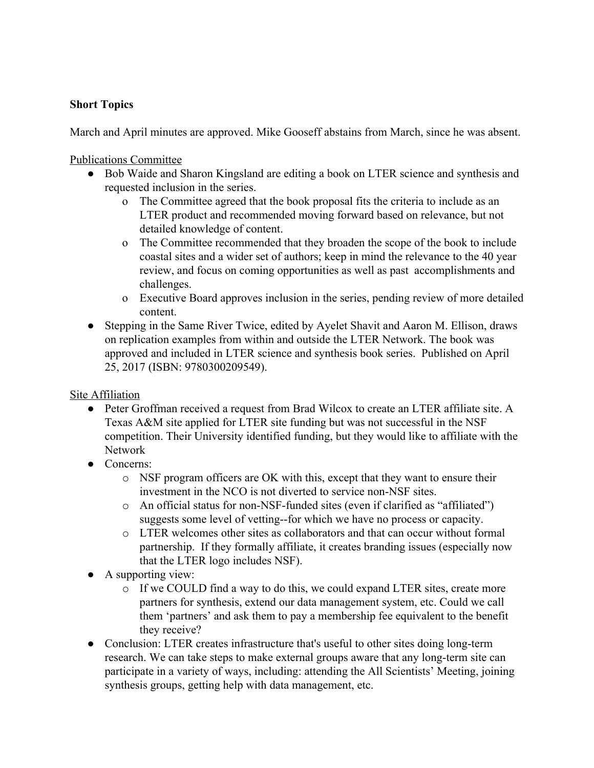### **Short Topics**

March and April minutes are approved. Mike Gooseff abstains from March, since he was absent.

Publications Committee

- Bob Waide and Sharon Kingsland are editing a book on LTER science and synthesis and requested inclusion in the series.
	- o The Committee agreed that the book proposal fits the criteria to include as an LTER product and recommended moving forward based on relevance, but not detailed knowledge of content.
	- o The Committee recommended that they broaden the scope of the book to include coastal sites and a wider set of authors; keep in mind the relevance to the 40 year review, and focus on coming opportunities as well as past accomplishments and challenges.
	- o Executive Board approves inclusion in the series, pending review of more detailed content.
- Stepping in the Same River Twice, edited by Ayelet Shavit and Aaron M. Ellison, draws on replication examples from within and outside the LTER Network. The book was approved and included in LTER science and synthesis book series. Published on April 25, 2017 (ISBN: 9780300209549).

Site Affiliation

- Peter Groffman received a request from Brad Wilcox to create an LTER affiliate site. A Texas A&M site applied for LTER site funding but was not successful in the NSF competition. Their University identified funding, but they would like to affiliate with the Network
- Concerns:
	- o NSF program officers are OK with this, except that they want to ensure their investment in the NCO is not diverted to service non-NSF sites.
	- o An official status for non-NSF-funded sites (even if clarified as "affiliated") suggests some level of vetting--for which we have no process or capacity.
	- o LTER welcomes other sites as collaborators and that can occur without formal partnership. If they formally affiliate, it creates branding issues (especially now that the LTER logo includes NSF).
- A supporting view:
	- $\circ$  If we COULD find a way to do this, we could expand LTER sites, create more partners for synthesis, extend our data management system, etc. Could we call them 'partners' and ask them to pay a membership fee equivalent to the benefit they receive?
- Conclusion: LTER creates infrastructure that's useful to other sites doing long-term research. We can take steps to make external groups aware that any long-term site can participate in a variety of ways, including: attending the All Scientists' Meeting, joining synthesis groups, getting help with data management, etc.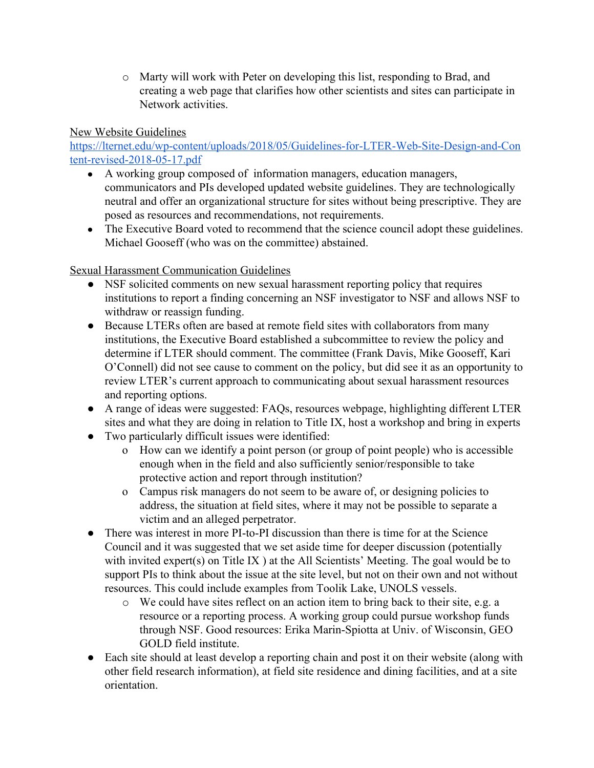o Marty will work with Peter on developing this list, responding to Brad, and creating a web page that clarifies how other scientists and sites can participate in Network activities.

New Website Guidelines

[https://lternet.edu/wp-content/uploads/2018/05/Guidelines-for-LTER-Web-Site-Design-and-Con](https://lternet.edu/wp-content/uploads/2018/05/Guidelines-for-LTER-Web-Site-Design-and-Content-revised-2018-05-17.pdf) [tent-revised-2018-05-17.pdf](https://lternet.edu/wp-content/uploads/2018/05/Guidelines-for-LTER-Web-Site-Design-and-Content-revised-2018-05-17.pdf)

- A working group composed of information managers, education managers, communicators and PIs developed updated website guidelines. They are technologically neutral and offer an organizational structure for sites without being prescriptive. They are posed as resources and recommendations, not requirements.
- The Executive Board voted to recommend that the science council adopt these guidelines. Michael Gooseff (who was on the committee) abstained.

Sexual Harassment Communication Guidelines

- NSF solicited comments on new sexual harassment reporting policy that requires institutions to report a finding concerning an NSF investigator to NSF and allows NSF to withdraw or reassign funding.
- Because LTERs often are based at remote field sites with collaborators from many institutions, the Executive Board established a subcommittee to review the policy and determine if LTER should comment. The committee (Frank Davis, Mike Gooseff, Kari O'Connell) did not see cause to comment on the policy, but did see it as an opportunity to review LTER's current approach to communicating about sexual harassment resources and reporting options.
- A range of ideas were suggested: FAQs, resources webpage, highlighting different LTER sites and what they are doing in relation to Title IX, host a workshop and bring in experts
- Two particularly difficult issues were identified:
	- o How can we identify a point person (or group of point people) who is accessible enough when in the field and also sufficiently senior/responsible to take protective action and report through institution?
	- o Campus risk managers do not seem to be aware of, or designing policies to address, the situation at field sites, where it may not be possible to separate a victim and an alleged perpetrator.
- There was interest in more PI-to-PI discussion than there is time for at the Science Council and it was suggested that we set aside time for deeper discussion (potentially with invited expert(s) on Title IX ) at the All Scientists' Meeting. The goal would be to support PIs to think about the issue at the site level, but not on their own and not without resources. This could include examples from Toolik Lake, UNOLS vessels.
	- o We could have sites reflect on an action item to bring back to their site, e.g. a resource or a reporting process. A working group could pursue workshop funds through NSF. Good resources: Erika Marin-Spiotta at Univ. of Wisconsin, GEO GOLD field institute.
- Each site should at least develop a reporting chain and post it on their website (along with other field research information), at field site residence and dining facilities, and at a site orientation.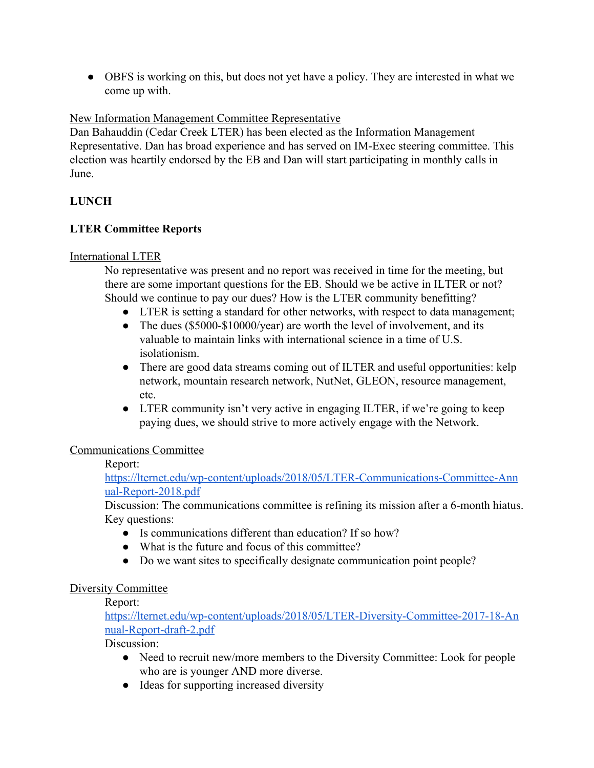• OBFS is working on this, but does not yet have a policy. They are interested in what we come up with.

## New Information Management Committee Representative

Dan Bahauddin (Cedar Creek LTER) has been elected as the Information Management Representative. Dan has broad experience and has served on IM-Exec steering committee. This election was heartily endorsed by the EB and Dan will start participating in monthly calls in June.

### **LUNCH**

### **LTER Committee Reports**

#### International LTER

No representative was present and no report was received in time for the meeting, but there are some important questions for the EB. Should we be active in ILTER or not? Should we continue to pay our dues? How is the LTER community benefitting?

- LTER is setting a standard for other networks, with respect to data management;
- The dues  $(\$5000-\$10000/\text{year})$  are worth the level of involvement, and its valuable to maintain links with international science in a time of U.S. isolationism.
- There are good data streams coming out of ILTER and useful opportunities: kelp network, mountain research network, NutNet, GLEON, resource management, etc.
- LTER community isn't very active in engaging ILTER, if we're going to keep paying dues, we should strive to more actively engage with the Network.

#### Communications Committee

### Report:

[https://lternet.edu/wp-content/uploads/2018/05/LTER-Communications-Committee-Ann](https://lternet.edu/wp-content/uploads/2018/05/LTER-Communications-Committee-Annual-Report-2018.pdf) [ual-Report-2018.pdf](https://lternet.edu/wp-content/uploads/2018/05/LTER-Communications-Committee-Annual-Report-2018.pdf)

Discussion: The communications committee is refining its mission after a 6-month hiatus. Key questions:

- Is communications different than education? If so how?
- What is the future and focus of this committee?
- Do we want sites to specifically designate communication point people?

#### Diversity Committee

Report:

[https://lternet.edu/wp-content/uploads/2018/05/LTER-Diversity-Committee-2017-18-An](https://lternet.edu/wp-content/uploads/2018/05/LTER-Diversity-Committee-2017-18-Annual-Report-draft-2.pdf) [nual-Report-draft-2.pdf](https://lternet.edu/wp-content/uploads/2018/05/LTER-Diversity-Committee-2017-18-Annual-Report-draft-2.pdf)

Discussion:

- Need to recruit new/more members to the Diversity Committee: Look for people who are is younger AND more diverse.
- Ideas for supporting increased diversity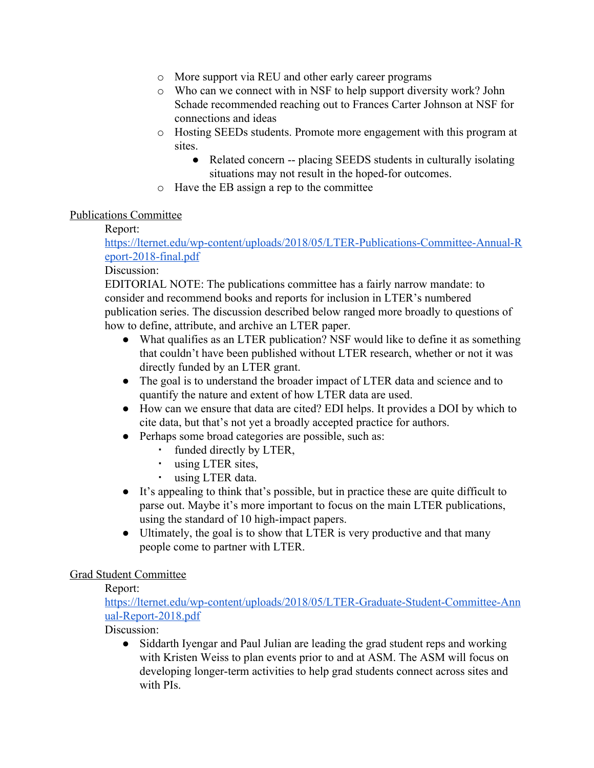- o More support via REU and other early career programs
- o Who can we connect with in NSF to help support diversity work? John Schade recommended reaching out to Frances Carter Johnson at NSF for connections and ideas
- o Hosting SEEDs students. Promote more engagement with this program at sites.
	- Related concern -- placing SEEDS students in culturally isolating situations may not result in the hoped-for outcomes.
- o Have the EB assign a rep to the committee

### Publications Committee

### Report:

[https://lternet.edu/wp-content/uploads/2018/05/LTER-Publications-Committee-Annual-R](https://lternet.edu/wp-content/uploads/2018/05/LTER-Publications-Committee-Annual-Report-2018-final.pdf) [eport-2018-final.pdf](https://lternet.edu/wp-content/uploads/2018/05/LTER-Publications-Committee-Annual-Report-2018-final.pdf)

### Discussion:

EDITORIAL NOTE: The publications committee has a fairly narrow mandate: to consider and recommend books and reports for inclusion in LTER's numbered publication series. The discussion described below ranged more broadly to questions of how to define, attribute, and archive an LTER paper.

- What qualifies as an LTER publication? NSF would like to define it as something that couldn't have been published without LTER research, whether or not it was directly funded by an LTER grant.
- The goal is to understand the broader impact of LTER data and science and to quantify the nature and extent of how LTER data are used.
- How can we ensure that data are cited? EDI helps. It provides a DOI by which to cite data, but that's not yet a broadly accepted practice for authors.
- Perhaps some broad categories are possible, such as:
	- funded directly by LTER,
	- using LTER sites,
	- using LTER data.
- It's appealing to think that's possible, but in practice these are quite difficult to parse out. Maybe it's more important to focus on the main LTER publications, using the standard of 10 high-impact papers.
- Ultimately, the goal is to show that LTER is very productive and that many people come to partner with LTER.

## Grad Student Committee

Report:

[https://lternet.edu/wp-content/uploads/2018/05/LTER-Graduate-Student-Committee-Ann](https://lternet.edu/wp-content/uploads/2018/05/LTER-Graduate-Student-Committee-Annual-Report-2018.pdf) [ual-Report-2018.pdf](https://lternet.edu/wp-content/uploads/2018/05/LTER-Graduate-Student-Committee-Annual-Report-2018.pdf)

Discussion:

• Siddarth Iyengar and Paul Julian are leading the grad student reps and working with Kristen Weiss to plan events prior to and at ASM. The ASM will focus on developing longer-term activities to help grad students connect across sites and with PIs.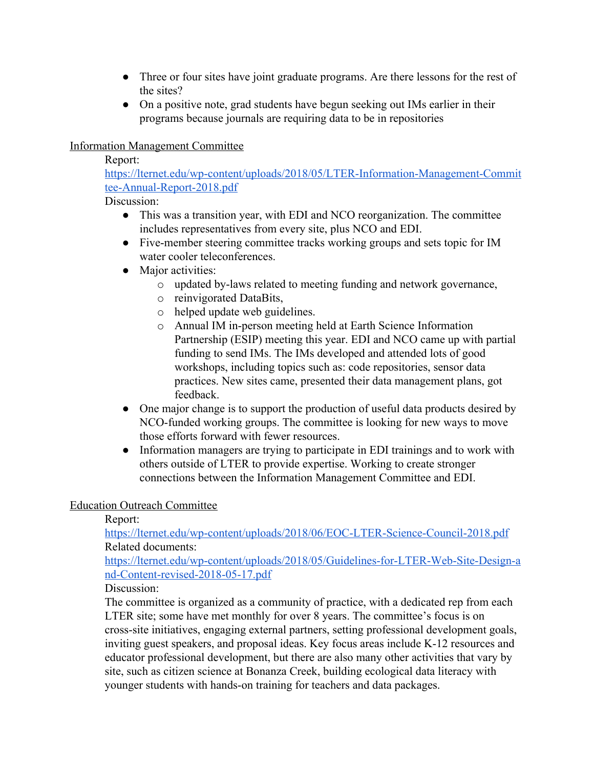- Three or four sites have joint graduate programs. Are there lessons for the rest of the sites?
- On a positive note, grad students have begun seeking out IMs earlier in their programs because journals are requiring data to be in repositories

### Information Management Committee

Report:

[https://lternet.edu/wp-content/uploads/2018/05/LTER-Information-Management-Commit](https://lternet.edu/wp-content/uploads/2018/05/LTER-Information-Management-Committee-Annual-Report-2018.pdf) [tee-Annual-Report-2018.pdf](https://lternet.edu/wp-content/uploads/2018/05/LTER-Information-Management-Committee-Annual-Report-2018.pdf)

Discussion:

- This was a transition year, with EDI and NCO reorganization. The committee includes representatives from every site, plus NCO and EDI.
- Five-member steering committee tracks working groups and sets topic for IM water cooler teleconferences.
- Major activities:
	- o updated by-laws related to meeting funding and network governance,
	- o reinvigorated DataBits,
	- o helped update web guidelines.
	- o Annual IM in-person meeting held at Earth Science Information Partnership (ESIP) meeting this year. EDI and NCO came up with partial funding to send IMs. The IMs developed and attended lots of good workshops, including topics such as: code repositories, sensor data practices. New sites came, presented their data management plans, got feedback.
- One major change is to support the production of useful data products desired by NCO-funded working groups. The committee is looking for new ways to move those efforts forward with fewer resources.
- Information managers are trying to participate in EDI trainings and to work with others outside of LTER to provide expertise. Working to create stronger connections between the Information Management Committee and EDI.

#### Education Outreach Committee

Report:

<https://lternet.edu/wp-content/uploads/2018/06/EOC-LTER-Science-Council-2018.pdf> Related documents:

[https://lternet.edu/wp-content/uploads/2018/05/Guidelines-for-LTER-Web-Site-Design-a](https://lternet.edu/wp-content/uploads/2018/05/Guidelines-for-LTER-Web-Site-Design-and-Content-revised-2018-05-17.pdf) [nd-Content-revised-2018-05-17.pdf](https://lternet.edu/wp-content/uploads/2018/05/Guidelines-for-LTER-Web-Site-Design-and-Content-revised-2018-05-17.pdf)

Discussion:

The committee is organized as a community of practice, with a dedicated rep from each LTER site; some have met monthly for over 8 years. The committee's focus is on cross-site initiatives, engaging external partners, setting professional development goals, inviting guest speakers, and proposal ideas. Key focus areas include K-12 resources and educator professional development, but there are also many other activities that vary by site, such as citizen science at Bonanza Creek, building ecological data literacy with younger students with hands-on training for teachers and data packages.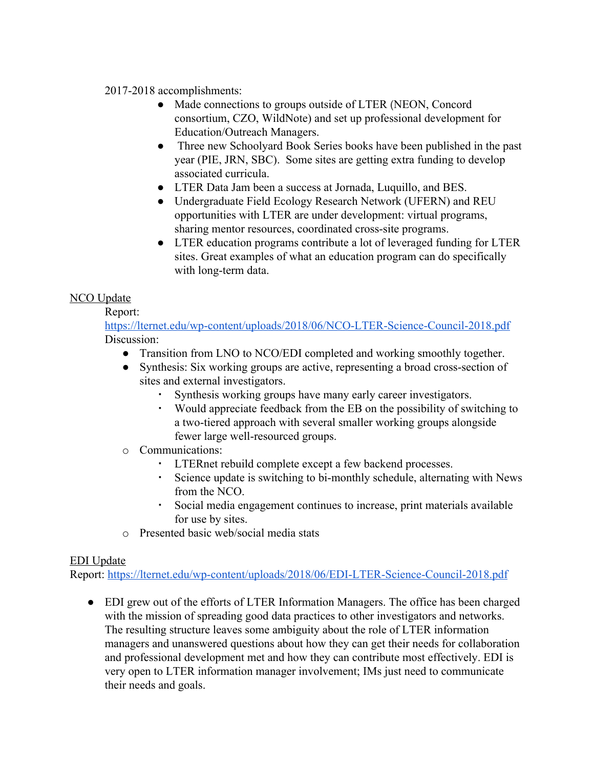#### 2017-2018 accomplishments:

- Made connections to groups outside of LTER (NEON, Concord consortium, CZO, WildNote) and set up professional development for Education/Outreach Managers.
- Three new Schoolyard Book Series books have been published in the past year (PIE, JRN, SBC). Some sites are getting extra funding to develop associated curricula.
- LTER Data Jam been a success at Jornada, Luquillo, and BES.
- Undergraduate Field Ecology Research Network (UFERN) and REU opportunities with LTER are under development: virtual programs, sharing mentor resources, coordinated cross-site programs.
- LTER education programs contribute a lot of leveraged funding for LTER sites. Great examples of what an education program can do specifically with long-term data.

## **NCO Update**

Report:

<https://lternet.edu/wp-content/uploads/2018/06/NCO-LTER-Science-Council-2018.pdf> Discussion:

- Transition from LNO to NCO/EDI completed and working smoothly together.
- Synthesis: Six working groups are active, representing a broad cross-section of sites and external investigators.
	- Synthesis working groups have many early career investigators.
	- Would appreciate feedback from the EB on the possibility of switching to a two-tiered approach with several smaller working groups alongside fewer large well-resourced groups.
- o Communications:
	- LTERnet rebuild complete except a few backend processes.
	- Science update is switching to bi-monthly schedule, alternating with News from the NCO.
	- Social media engagement continues to increase, print materials available for use by sites.
- o Presented basic web/social media stats

## EDI Update

Report: <https://lternet.edu/wp-content/uploads/2018/06/EDI-LTER-Science-Council-2018.pdf>

● EDI grew out of the efforts of LTER Information Managers. The office has been charged with the mission of spreading good data practices to other investigators and networks. The resulting structure leaves some ambiguity about the role of LTER information managers and unanswered questions about how they can get their needs for collaboration and professional development met and how they can contribute most effectively. EDI is very open to LTER information manager involvement; IMs just need to communicate their needs and goals.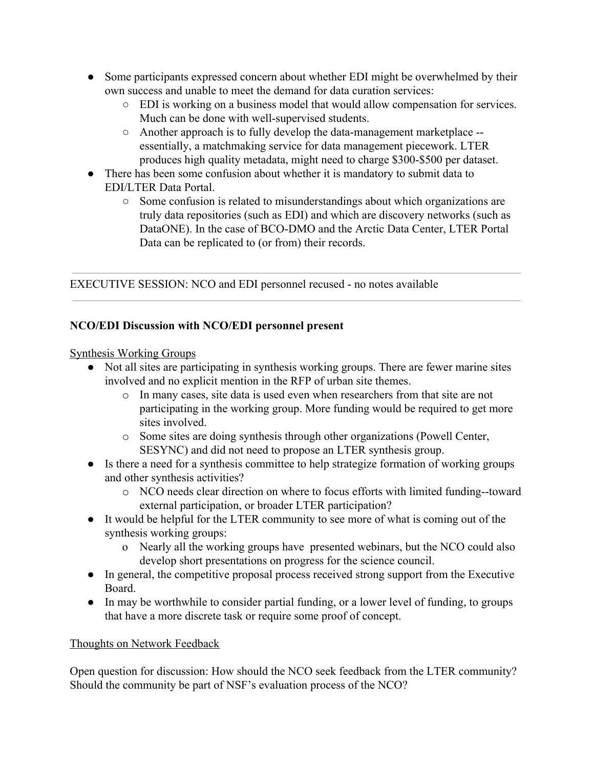- Some participants expressed concern about whether EDI might be overwhelmed by their own success and unable to meet the demand for data curation services:
	- EDI is working on a business model that would allow compensation for services. Much can be done with well-supervised students.
	- Another approach is to fully develop the data-management marketplace essentially, a matchmaking service for data management piecework. LTER produces high quality metadata, might need to charge \$300-\$500 per dataset.
- There has been some confusion about whether it is mandatory to submit data to EDI/LTER Data Portal.
	- Some confusion is related to misunderstandings about which organizations are truly data repositories (such as EDI) and which are discovery networks (such as DataONE). In the case of BCO-DMO and the Arctic Data Center, LTER Portal Data can be replicated to (or from) their records.

EXECUTIVE SESSION: NCO and EDI personnel recused - no notes available

# **NCO/EDI Discussion with NCO/EDI personnel present**

Synthesis Working Groups

- Not all sites are participating in synthesis working groups. There are fewer marine sites involved and no explicit mention in the RFP of urban site themes.
	- o In many cases, site data is used even when researchers from that site are not participating in the working group. More funding would be required to get more sites involved.
	- o Some sites are doing synthesis through other organizations (Powell Center, SESYNC) and did not need to propose an LTER synthesis group.
- Is there a need for a synthesis committee to help strategize formation of working groups and other synthesis activities?
	- o NCO needs clear direction on where to focus efforts with limited funding--toward external participation, or broader LTER participation?
- It would be helpful for the LTER community to see more of what is coming out of the synthesis working groups:
	- o Nearly all the working groups have presented webinars, but the NCO could also develop short presentations on progress for the science council.
- In general, the competitive proposal process received strong support from the Executive Board.
- In may be worthwhile to consider partial funding, or a lower level of funding, to groups that have a more discrete task or require some proof of concept.

## Thoughts on Network Feedback

Open question for discussion: How should the NCO seek feedback from the LTER community? Should the community be part of NSF's evaluation process of the NCO?